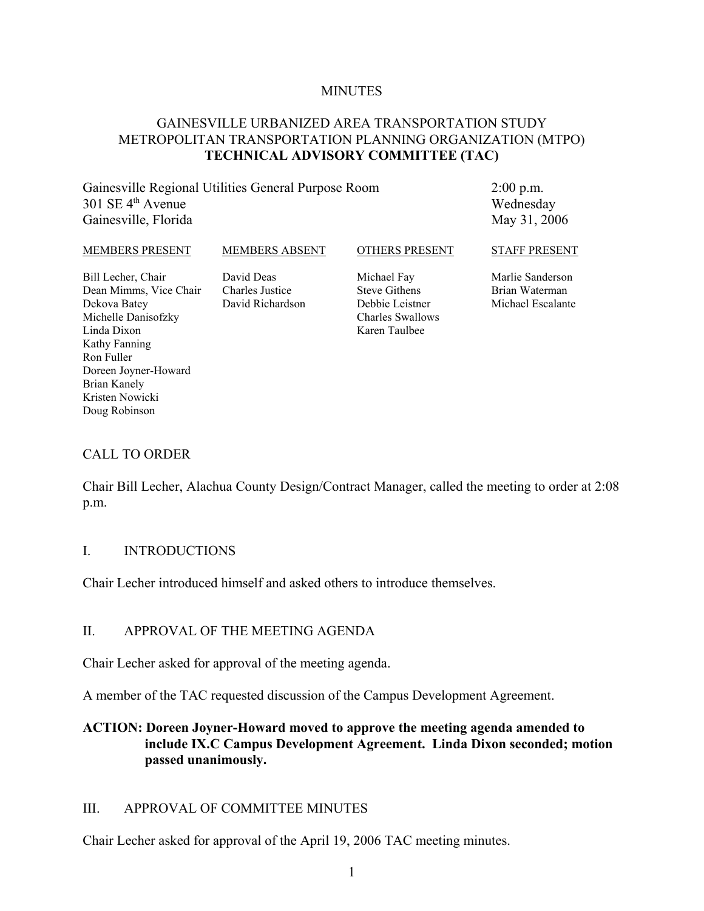#### **MINUTES**

#### GAINESVILLE URBANIZED AREA TRANSPORTATION STUDY METROPOLITAN TRANSPORTATION PLANNING ORGANIZATION (MTPO) **TECHNICAL ADVISORY COMMITTEE (TAC)**

Gainesville Regional Utilities General Purpose Room  $301$  SE  $4<sup>th</sup>$  Avenue Gainesville, Florida

2:00 p.m. Wednesday May 31, 2006

#### MEMBERS PRESENT

MEMBERS ABSENT

OTHERS PRESENT

STAFF PRESENT

Bill Lecher, Chair Dean Mimms, Vice Chair Dekova Batey Michelle Danisofzky Linda Dixon Kathy Fanning Ron Fuller Doreen Joyner-Howard Brian Kanely Kristen Nowicki Doug Robinson

David Deas Charles Justice David Richardson Michael Fay Steve Githens Debbie Leistner Charles Swallows Karen Taulbee

Marlie Sanderson Brian Waterman Michael Escalante

#### CALL TO ORDER

Chair Bill Lecher, Alachua County Design/Contract Manager, called the meeting to order at 2:08 p.m.

#### I. INTRODUCTIONS

Chair Lecher introduced himself and asked others to introduce themselves.

#### II. APPROVAL OF THE MEETING AGENDA

Chair Lecher asked for approval of the meeting agenda.

A member of the TAC requested discussion of the Campus Development Agreement.

#### **ACTION: Doreen Joyner-Howard moved to approve the meeting agenda amended to include IX.C Campus Development Agreement. Linda Dixon seconded; motion passed unanimously.**

#### III. APPROVAL OF COMMITTEE MINUTES

Chair Lecher asked for approval of the April 19, 2006 TAC meeting minutes.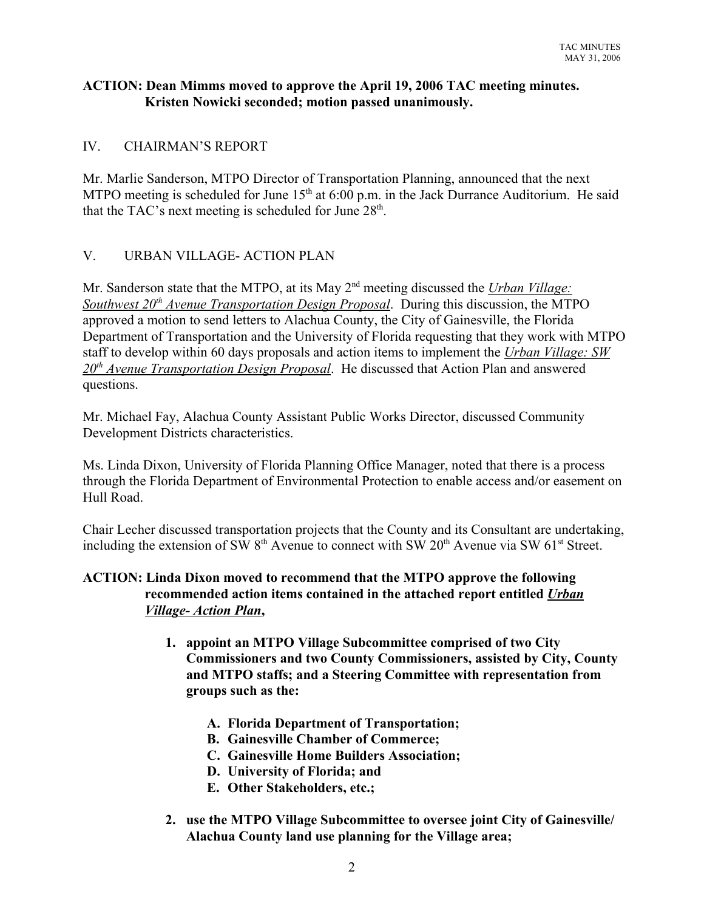#### **ACTION: Dean Mimms moved to approve the April 19, 2006 TAC meeting minutes. Kristen Nowicki seconded; motion passed unanimously.**

# IV. CHAIRMAN'S REPORT

Mr. Marlie Sanderson, MTPO Director of Transportation Planning, announced that the next MTPO meeting is scheduled for June  $15<sup>th</sup>$  at 6:00 p.m. in the Jack Durrance Auditorium. He said that the TAC's next meeting is scheduled for June  $28<sup>th</sup>$ .

# V. URBAN VILLAGE- ACTION PLAN

Mr. Sanderson state that the MTPO, at its May 2nd meeting discussed the *Urban Village: Southwest 20<sup>th</sup> Avenue Transportation Design Proposal.* During this discussion, the MTPO approved a motion to send letters to Alachua County, the City of Gainesville, the Florida Department of Transportation and the University of Florida requesting that they work with MTPO staff to develop within 60 days proposals and action items to implement the *Urban Village: SW 20th Avenue Transportation Design Proposal*. He discussed that Action Plan and answered questions.

Mr. Michael Fay, Alachua County Assistant Public Works Director, discussed Community Development Districts characteristics.

Ms. Linda Dixon, University of Florida Planning Office Manager, noted that there is a process through the Florida Department of Environmental Protection to enable access and/or easement on Hull Road.

Chair Lecher discussed transportation projects that the County and its Consultant are undertaking, including the extension of SW  $8<sup>th</sup>$  Avenue to connect with SW  $20<sup>th</sup>$  Avenue via SW  $61<sup>st</sup>$  Street.

#### **ACTION: Linda Dixon moved to recommend that the MTPO approve the following recommended action items contained in the attached report entitled** *Urban Village- Action Plan***,**

- **1. appoint an MTPO Village Subcommittee comprised of two City Commissioners and two County Commissioners, assisted by City, County and MTPO staffs; and a Steering Committee with representation from groups such as the:**
	- **A. Florida Department of Transportation;**
	- **B. Gainesville Chamber of Commerce;**
	- **C. Gainesville Home Builders Association;**
	- **D. University of Florida; and**
	- **E. Other Stakeholders, etc.;**
- **2. use the MTPO Village Subcommittee to oversee joint City of Gainesville/ Alachua County land use planning for the Village area;**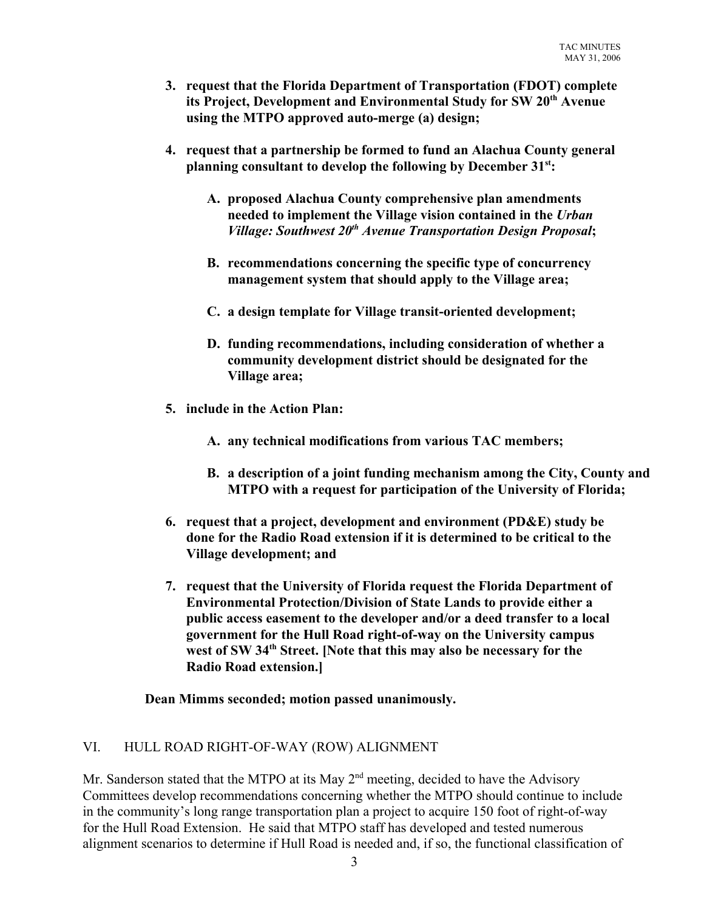- **3. request that the Florida Department of Transportation (FDOT) complete its Project, Development and Environmental Study for SW 20th Avenue using the MTPO approved auto-merge (a) design;**
- **4. request that a partnership be formed to fund an Alachua County general planning consultant to develop the following by December 31st:**
	- **A. proposed Alachua County comprehensive plan amendments needed to implement the Village vision contained in the** *Urban Village: Southwest 20<sup>th</sup> Avenue Transportation Design Proposal***;**
	- **B. recommendations concerning the specific type of concurrency management system that should apply to the Village area;**
	- **C. a design template for Village transit-oriented development;**
	- **D. funding recommendations, including consideration of whether a community development district should be designated for the Village area;**
- **5. include in the Action Plan:** 
	- **A. any technical modifications from various TAC members;**
	- **B. a description of a joint funding mechanism among the City, County and MTPO with a request for participation of the University of Florida;**
- **6. request that a project, development and environment (PD&E) study be done for the Radio Road extension if it is determined to be critical to the Village development; and**
- **7. request that the University of Florida request the Florida Department of Environmental Protection/Division of State Lands to provide either a public access easement to the developer and/or a deed transfer to a local government for the Hull Road right-of-way on the University campus** west of SW 34<sup>th</sup> Street. [Note that this may also be necessary for the **Radio Road extension.]**

**Dean Mimms seconded; motion passed unanimously.**

# VI. HULL ROAD RIGHT-OF-WAY (ROW) ALIGNMENT

Mr. Sanderson stated that the MTPO at its May  $2<sup>nd</sup>$  meeting, decided to have the Advisory Committees develop recommendations concerning whether the MTPO should continue to include in the community's long range transportation plan a project to acquire 150 foot of right-of-way for the Hull Road Extension. He said that MTPO staff has developed and tested numerous alignment scenarios to determine if Hull Road is needed and, if so, the functional classification of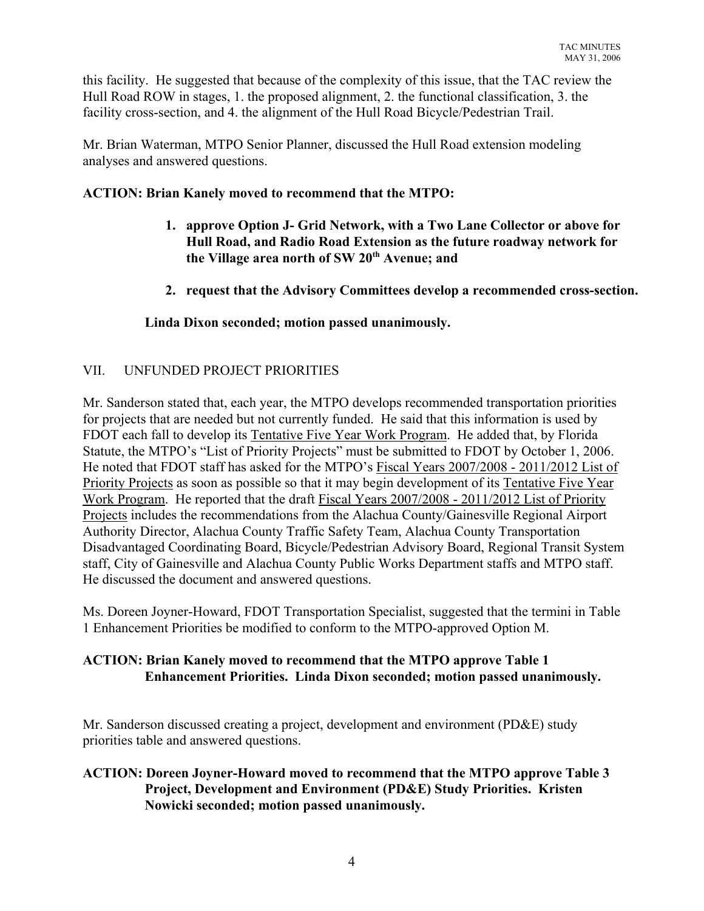this facility. He suggested that because of the complexity of this issue, that the TAC review the Hull Road ROW in stages, 1. the proposed alignment, 2. the functional classification, 3. the facility cross-section, and 4. the alignment of the Hull Road Bicycle/Pedestrian Trail.

Mr. Brian Waterman, MTPO Senior Planner, discussed the Hull Road extension modeling analyses and answered questions.

# **ACTION: Brian Kanely moved to recommend that the MTPO:**

- **1. approve Option J- Grid Network, with a Two Lane Collector or above for Hull Road, and Radio Road Extension as the future roadway network for** the Village area north of SW 20<sup>th</sup> Avenue; and
- **2. request that the Advisory Committees develop a recommended cross-section.**

## **Linda Dixon seconded; motion passed unanimously.**

# VII. UNFUNDED PROJECT PRIORITIES

Mr. Sanderson stated that, each year, the MTPO develops recommended transportation priorities for projects that are needed but not currently funded. He said that this information is used by FDOT each fall to develop its Tentative Five Year Work Program. He added that, by Florida Statute, the MTPO's "List of Priority Projects" must be submitted to FDOT by October 1, 2006. He noted that FDOT staff has asked for the MTPO's Fiscal Years 2007/2008 - 2011/2012 List of Priority Projects as soon as possible so that it may begin development of its Tentative Five Year Work Program. He reported that the draft Fiscal Years 2007/2008 - 2011/2012 List of Priority Projects includes the recommendations from the Alachua County/Gainesville Regional Airport Authority Director, Alachua County Traffic Safety Team, Alachua County Transportation Disadvantaged Coordinating Board, Bicycle/Pedestrian Advisory Board, Regional Transit System staff, City of Gainesville and Alachua County Public Works Department staffs and MTPO staff. He discussed the document and answered questions.

Ms. Doreen Joyner-Howard, FDOT Transportation Specialist, suggested that the termini in Table 1 Enhancement Priorities be modified to conform to the MTPO-approved Option M.

## **ACTION: Brian Kanely moved to recommend that the MTPO approve Table 1 Enhancement Priorities. Linda Dixon seconded; motion passed unanimously.**

Mr. Sanderson discussed creating a project, development and environment (PD&E) study priorities table and answered questions.

### **ACTION: Doreen Joyner-Howard moved to recommend that the MTPO approve Table 3 Project, Development and Environment (PD&E) Study Priorities. Kristen Nowicki seconded; motion passed unanimously.**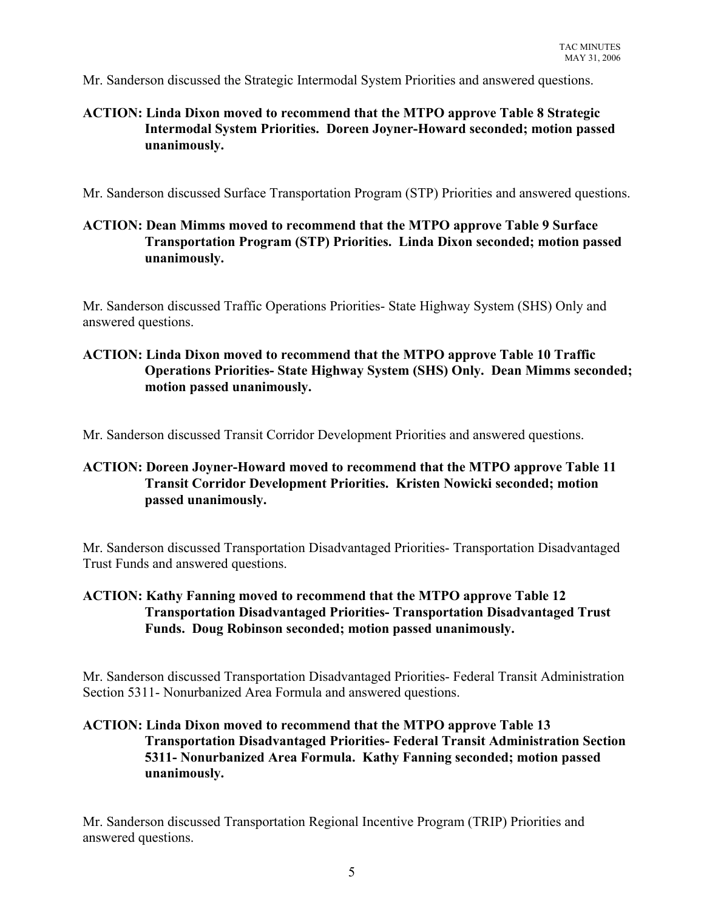Mr. Sanderson discussed the Strategic Intermodal System Priorities and answered questions.

# **ACTION: Linda Dixon moved to recommend that the MTPO approve Table 8 Strategic Intermodal System Priorities. Doreen Joyner-Howard seconded; motion passed unanimously.**

Mr. Sanderson discussed Surface Transportation Program (STP) Priorities and answered questions.

## **ACTION: Dean Mimms moved to recommend that the MTPO approve Table 9 Surface Transportation Program (STP) Priorities. Linda Dixon seconded; motion passed unanimously.**

Mr. Sanderson discussed Traffic Operations Priorities- State Highway System (SHS) Only and answered questions.

## **ACTION: Linda Dixon moved to recommend that the MTPO approve Table 10 Traffic Operations Priorities- State Highway System (SHS) Only. Dean Mimms seconded; motion passed unanimously.**

Mr. Sanderson discussed Transit Corridor Development Priorities and answered questions.

# **ACTION: Doreen Joyner-Howard moved to recommend that the MTPO approve Table 11 Transit Corridor Development Priorities. Kristen Nowicki seconded; motion passed unanimously.**

Mr. Sanderson discussed Transportation Disadvantaged Priorities- Transportation Disadvantaged Trust Funds and answered questions.

# **ACTION: Kathy Fanning moved to recommend that the MTPO approve Table 12 Transportation Disadvantaged Priorities- Transportation Disadvantaged Trust Funds. Doug Robinson seconded; motion passed unanimously.**

Mr. Sanderson discussed Transportation Disadvantaged Priorities- Federal Transit Administration Section 5311- Nonurbanized Area Formula and answered questions.

# **ACTION: Linda Dixon moved to recommend that the MTPO approve Table 13 Transportation Disadvantaged Priorities- Federal Transit Administration Section 5311- Nonurbanized Area Formula. Kathy Fanning seconded; motion passed unanimously.**

Mr. Sanderson discussed Transportation Regional Incentive Program (TRIP) Priorities and answered questions.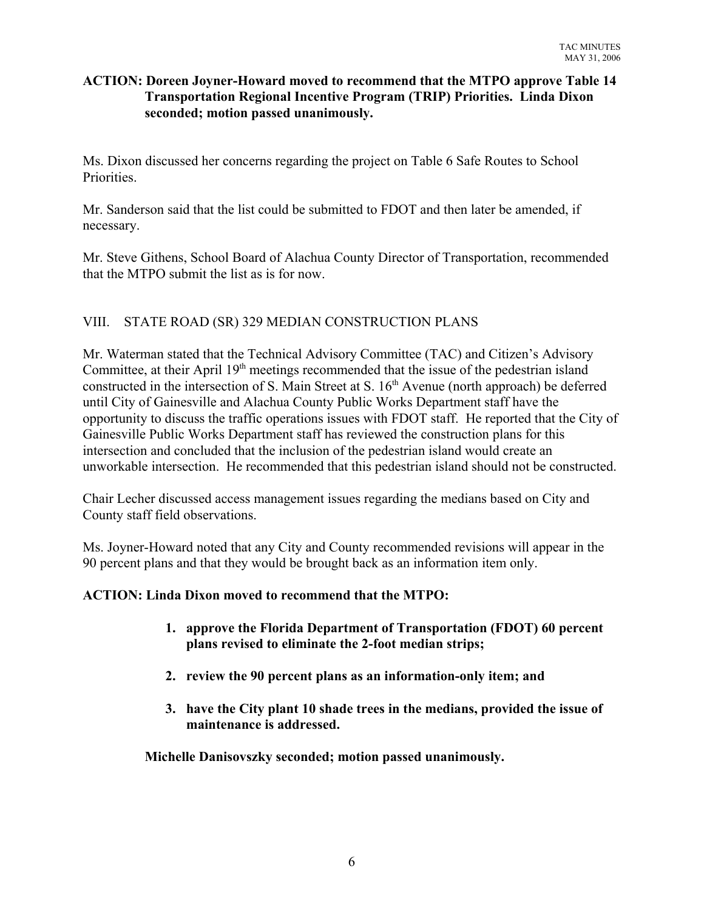#### **ACTION: Doreen Joyner-Howard moved to recommend that the MTPO approve Table 14 Transportation Regional Incentive Program (TRIP) Priorities. Linda Dixon seconded; motion passed unanimously.**

Ms. Dixon discussed her concerns regarding the project on Table 6 Safe Routes to School Priorities.

Mr. Sanderson said that the list could be submitted to FDOT and then later be amended, if necessary.

Mr. Steve Githens, School Board of Alachua County Director of Transportation, recommended that the MTPO submit the list as is for now.

# VIII. STATE ROAD (SR) 329 MEDIAN CONSTRUCTION PLANS

Mr. Waterman stated that the Technical Advisory Committee (TAC) and Citizen's Advisory Committee, at their April  $19<sup>th</sup>$  meetings recommended that the issue of the pedestrian island constructed in the intersection of S. Main Street at S. 16<sup>th</sup> Avenue (north approach) be deferred until City of Gainesville and Alachua County Public Works Department staff have the opportunity to discuss the traffic operations issues with FDOT staff. He reported that the City of Gainesville Public Works Department staff has reviewed the construction plans for this intersection and concluded that the inclusion of the pedestrian island would create an unworkable intersection. He recommended that this pedestrian island should not be constructed.

Chair Lecher discussed access management issues regarding the medians based on City and County staff field observations.

Ms. Joyner-Howard noted that any City and County recommended revisions will appear in the 90 percent plans and that they would be brought back as an information item only.

#### **ACTION: Linda Dixon moved to recommend that the MTPO:**

- **1. approve the Florida Department of Transportation (FDOT) 60 percent plans revised to eliminate the 2-foot median strips;**
- **2. review the 90 percent plans as an information-only item; and**
- **3. have the City plant 10 shade trees in the medians, provided the issue of maintenance is addressed.**

**Michelle Danisovszky seconded; motion passed unanimously.**